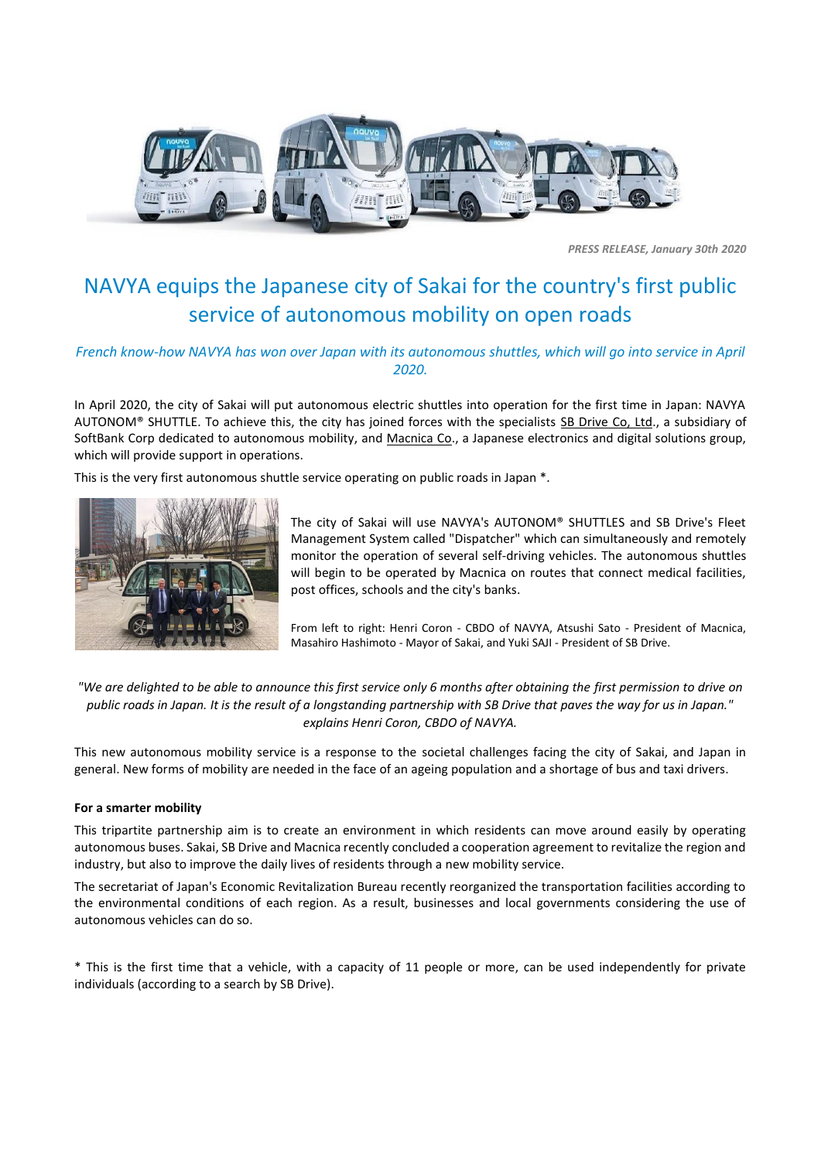

*PRESS RELEASE, January 30th 2020*

## NAVYA equips the Japanese city of Sakai for the country's first public service of autonomous mobility on open roads

## *French know-how NAVYA has won over Japan with its autonomous shuttles, which will go into service in April 2020.*

In April 2020, the city of Sakai will put autonomous electric shuttles into operation for the first time in Japan: NAVYA AUTONOM® SHUTTLE. To achieve this, the city has joined forces with the specialists [SB Drive Co, Ltd.](https://www.softbank.jp/en/drive/), a subsidiary of SoftBank Corp dedicated to autonomous mobility, and [Macnica Co.](https://www.macnica.co.jp/en/company/), a Japanese electronics and digital solutions group, which will provide support in operations.

This is the very first autonomous shuttle service operating on public roads in Japan \*.



The city of Sakai will use NAVYA's AUTONOM® SHUTTLES and SB Drive's Fleet Management System called "Dispatcher" which can simultaneously and remotely monitor the operation of several self-driving vehicles. The autonomous shuttles will begin to be operated by Macnica on routes that connect medical facilities, post offices, schools and the city's banks.

From left to right: Henri Coron - CBDO of NAVYA, Atsushi Sato - President of Macnica, Masahiro Hashimoto - Mayor of Sakai, and Yuki SAJI - President of SB Drive.

*"We are delighted to be able to announce this first service only 6 months after obtaining the first permission to drive on public roads in Japan. It is the result of a longstanding partnership with SB Drive that paves the way for us in Japan." explains Henri Coron, CBDO of NAVYA.*

This new autonomous mobility service is a response to the societal challenges facing the city of Sakai, and Japan in general. New forms of mobility are needed in the face of an ageing population and a shortage of bus and taxi drivers.

## **For a smarter mobility**

This tripartite partnership aim is to create an environment in which residents can move around easily by operating autonomous buses. Sakai, SB Drive and Macnica recently concluded a cooperation agreement to revitalize the region and industry, but also to improve the daily lives of residents through a new mobility service.

The secretariat of Japan's Economic Revitalization Bureau recently reorganized the transportation facilities according to the environmental conditions of each region. As a result, businesses and local governments considering the use of autonomous vehicles can do so.

\* This is the first time that a vehicle, with a capacity of 11 people or more, can be used independently for private individuals (according to a search by SB Drive).